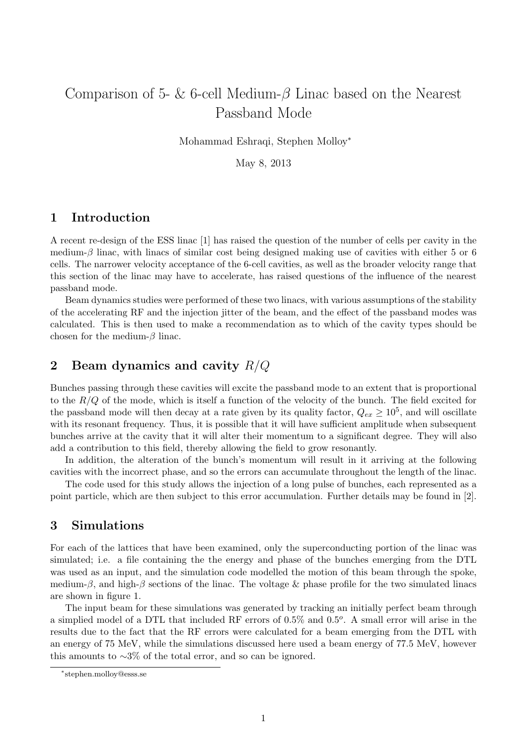# Comparison of 5- & 6-cell Medium- $\beta$  Linac based on the Nearest Passband Mode

Mohammad Eshraqi, Stephen Molloy<sup>∗</sup>

May 8, 2013

### 1 Introduction

A recent re-design of the ESS linac [1] has raised the question of the number of cells per cavity in the medium- $\beta$  linac, with linacs of similar cost being designed making use of cavities with either 5 or 6 cells. The narrower velocity acceptance of the 6-cell cavities, as well as the broader velocity range that this section of the linac may have to accelerate, has raised questions of the influence of the nearest passband mode.

Beam dynamics studies were performed of these two linacs, with various assumptions of the stability of the accelerating RF and the injection jitter of the beam, and the effect of the passband modes was calculated. This is then used to make a recommendation as to which of the cavity types should be chosen for the medium- $\beta$  linac.

### 2 Beam dynamics and cavity  $R/Q$

Bunches passing through these cavities will excite the passband mode to an extent that is proportional to the  $R/Q$  of the mode, which is itself a function of the velocity of the bunch. The field excited for the passband mode will then decay at a rate given by its quality factor,  $Q_{ex} \ge 10^5$ , and will oscillate with its resonant frequency. Thus, it is possible that it will have sufficient amplitude when subsequent bunches arrive at the cavity that it will alter their momentum to a significant degree. They will also add a contribution to this field, thereby allowing the field to grow resonantly.

In addition, the alteration of the bunch's momentum will result in it arriving at the following cavities with the incorrect phase, and so the errors can accumulate throughout the length of the linac.

The code used for this study allows the injection of a long pulse of bunches, each represented as a point particle, which are then subject to this error accumulation. Further details may be found in [2].

### 3 Simulations

For each of the lattices that have been examined, only the superconducting portion of the linac was simulated; i.e. a file containing the the energy and phase of the bunches emerging from the DTL was used as an input, and the simulation code modelled the motion of this beam through the spoke, medium- $\beta$ , and high- $\beta$  sections of the linac. The voltage & phase profile for the two simulated linacs are shown in figure 1.

The input beam for these simulations was generated by tracking an initially perfect beam through a simplied model of a DTL that included RF errors of  $0.5\%$  and  $0.5^o$ . A small error will arise in the results due to the fact that the RF errors were calculated for a beam emerging from the DTL with an energy of 75 MeV, while the simulations discussed here used a beam energy of 77.5 MeV, however this amounts to  $\sim$ 3% of the total error, and so can be ignored.

<sup>∗</sup> stephen.molloy@esss.se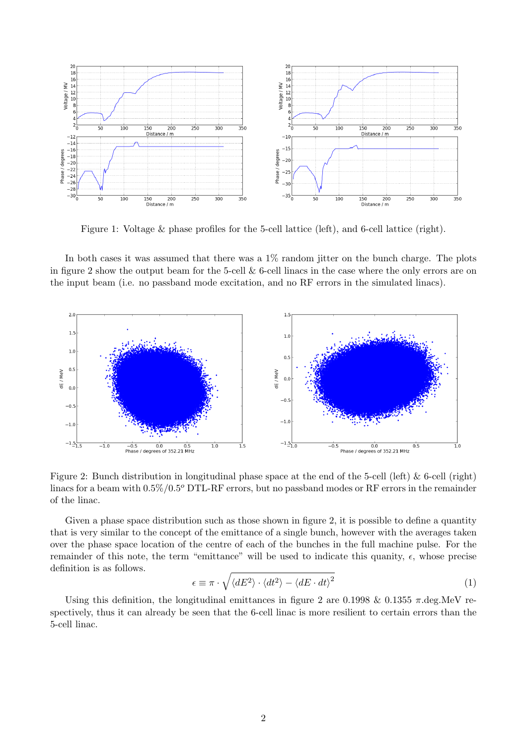

Figure 1: Voltage & phase profiles for the 5-cell lattice (left), and 6-cell lattice (right).

In both cases it was assumed that there was a  $1\%$  random jitter on the bunch charge. The plots in figure 2 show the output beam for the 5-cell  $\&$  6-cell linacs in the case where the only errors are on the input beam (i.e. no passband mode excitation, and no RF errors in the simulated linacs).



Figure 2: Bunch distribution in longitudinal phase space at the end of the 5-cell (left) & 6-cell (right) linacs for a beam with  $0.5\%/0.5^{\circ}$  DTL-RF errors, but no passband modes or RF errors in the remainder of the linac.

Given a phase space distribution such as those shown in figure 2, it is possible to define a quantity that is very similar to the concept of the emittance of a single bunch, however with the averages taken over the phase space location of the centre of each of the bunches in the full machine pulse. For the remainder of this note, the term "emittance" will be used to indicate this quanity,  $\epsilon$ , whose precise definition is as follows.

$$
\epsilon \equiv \pi \cdot \sqrt{\langle dE^2 \rangle \cdot \langle dt^2 \rangle - \langle dE \cdot dt \rangle^2} \tag{1}
$$

Using this definition, the longitudinal emittances in figure 2 are 0.1998 & 0.1355  $\pi$ .deg.MeV respectively, thus it can already be seen that the 6-cell linac is more resilient to certain errors than the 5-cell linac.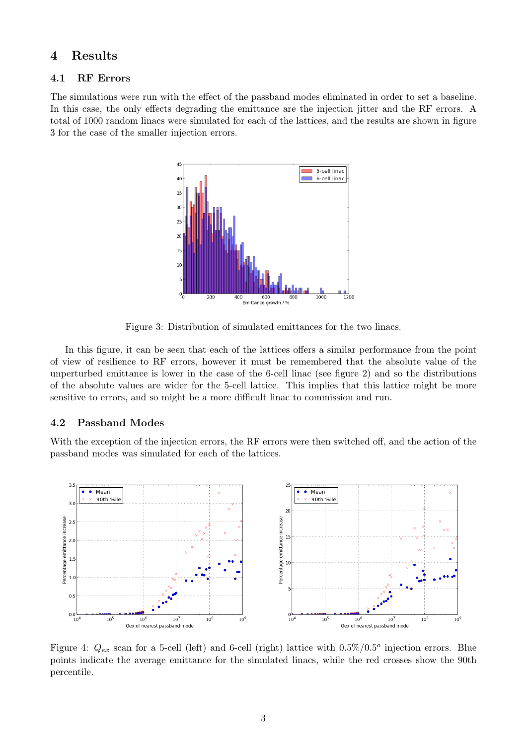### 4 Results

#### 4.1 RF Errors

The simulations were run with the effect of the passband modes eliminated in order to set a baseline. In this case, the only effects degrading the emittance are the injection jitter and the RF errors. A total of 1000 random linacs were simulated for each of the lattices, and the results are shown in figure 3 for the case of the smaller injection errors.



Figure 3: Distribution of simulated emittances for the two linacs.

In this figure, it can be seen that each of the lattices offers a similar performance from the point of view of resilience to RF errors, however it must be remembered that the absolute value of the unperturbed emittance is lower in the case of the 6-cell linac (see figure 2) and so the distributions of the absolute values are wider for the 5-cell lattice. This implies that this lattice might be more sensitive to errors, and so might be a more difficult linac to commission and run.

#### 4.2 Passband Modes

With the exception of the injection errors, the RF errors were then switched off, and the action of the passband modes was simulated for each of the lattices.



Figure 4:  $Q_{ex}$  scan for a 5-cell (left) and 6-cell (right) lattice with  $0.5\%/0.5^{\circ}$  injection errors. Blue points indicate the average emittance for the simulated linacs, while the red crosses show the 90th percentile.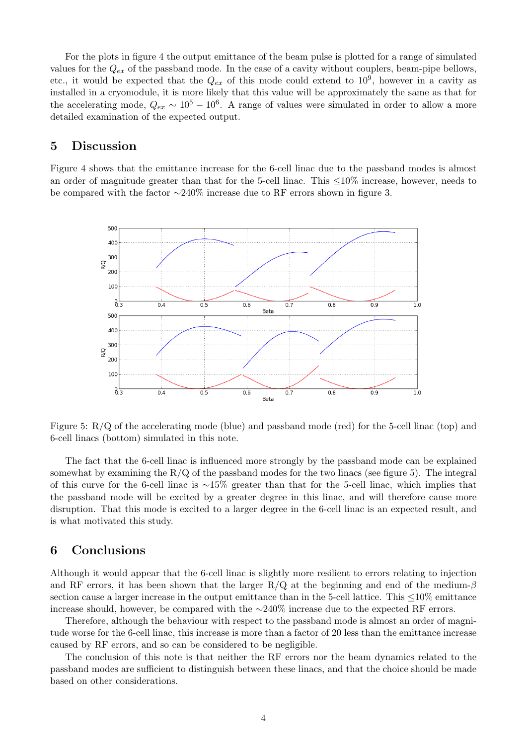For the plots in figure 4 the output emittance of the beam pulse is plotted for a range of simulated values for the  $Q_{ex}$  of the passband mode. In the case of a cavity without couplers, beam-pipe bellows, etc., it would be expected that the  $Q_{ex}$  of this mode could extend to  $10^9$ , however in a cavity as installed in a cryomodule, it is more likely that this value will be approximately the same as that for the accelerating mode,  $Q_{ex} \sim 10^5 - 10^6$ . A range of values were simulated in order to allow a more detailed examination of the expected output.

### 5 Discussion

Figure 4 shows that the emittance increase for the 6-cell linac due to the passband modes is almost an order of magnitude greater than that for the 5-cell linac. This ≤10% increase, however, needs to be compared with the factor ∼240% increase due to RF errors shown in figure 3.



Figure 5: R/Q of the accelerating mode (blue) and passband mode (red) for the 5-cell linac (top) and 6-cell linacs (bottom) simulated in this note.

The fact that the 6-cell linac is influenced more strongly by the passband mode can be explained somewhat by examining the  $R/Q$  of the passband modes for the two linacs (see figure 5). The integral of this curve for the 6-cell linac is ∼15% greater than that for the 5-cell linac, which implies that the passband mode will be excited by a greater degree in this linac, and will therefore cause more disruption. That this mode is excited to a larger degree in the 6-cell linac is an expected result, and is what motivated this study.

### 6 Conclusions

Although it would appear that the 6-cell linac is slightly more resilient to errors relating to injection and RF errors, it has been shown that the larger R/Q at the beginning and end of the medium- $\beta$ section cause a larger increase in the output emittance than in the 5-cell lattice. This ≤10% emittance increase should, however, be compared with the ∼240% increase due to the expected RF errors.

Therefore, although the behaviour with respect to the passband mode is almost an order of magnitude worse for the 6-cell linac, this increase is more than a factor of 20 less than the emittance increase caused by RF errors, and so can be considered to be negligible.

The conclusion of this note is that neither the RF errors nor the beam dynamics related to the passband modes are sufficient to distinguish between these linacs, and that the choice should be made based on other considerations.